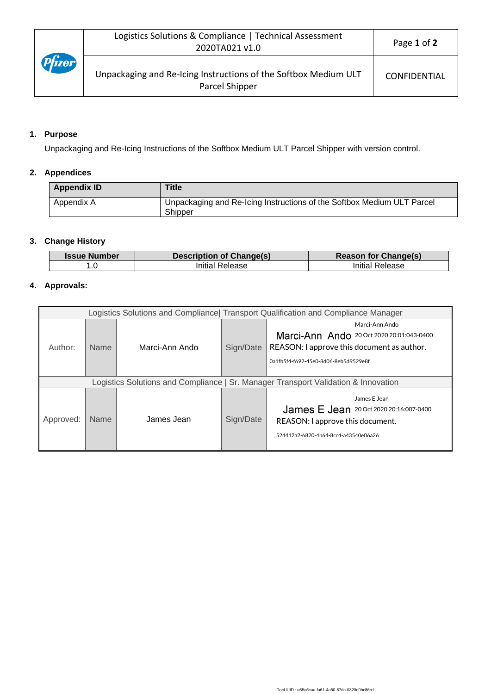## **1. Purpose**

Unpackaging and Re-Icing Instructions of the Softbox Medium ULT Parcel Shipper with version control.

## **2. Appendices**

| <b>Appendix ID</b> | <b>Title</b>                                                                      |
|--------------------|-----------------------------------------------------------------------------------|
| Appendix A         | Unpackaging and Re-Icing Instructions of the Softbox Medium ULT Parcel<br>Shipper |

### **3. Change History**

| <b>Issue Number</b> | <b>Description of Change(s)</b> | <b>Reason for Change(s)</b> |
|---------------------|---------------------------------|-----------------------------|
|                     | Initial Release                 | Initial Release             |

## **4. Approvals:**

| Logistics Solutions and Compliance Transport Qualification and Compliance Manager  |             |                |           |                                                                                                                                                   |
|------------------------------------------------------------------------------------|-------------|----------------|-----------|---------------------------------------------------------------------------------------------------------------------------------------------------|
| Author:                                                                            | <b>Name</b> | Marci-Ann Ando | Sign/Date | Marci-Ann Ando<br>Marci-Ann Ando 20 Oct 2020 20:01:043-0400<br>REASON: I approve this document as author.<br>0a1fb5f4-f692-45e0-8d06-8eb5d9529e8f |
| Logistics Solutions and Compliance   Sr. Manager Transport Validation & Innovation |             |                |           |                                                                                                                                                   |
| Approved:                                                                          | <b>Name</b> | James Jean     | Sign/Date | James E Jean<br><b>James E Jean</b> 20 Oct 2020 20:16:007-0400<br>REASON: I approve this document.<br>524412a2-6820-4b64-8cc4-a43540e06a26        |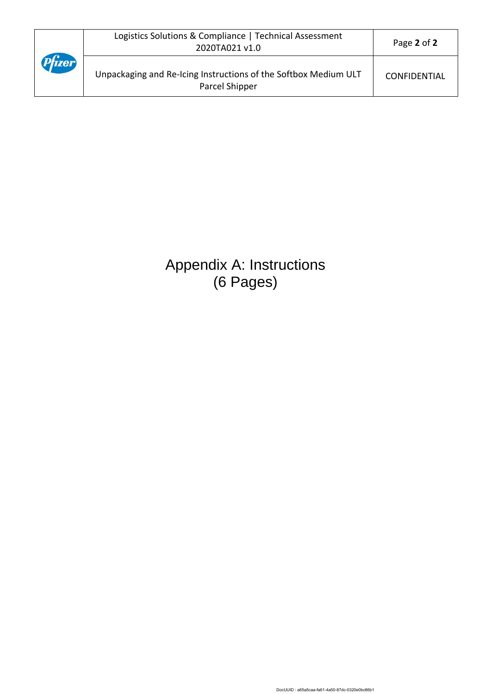|        | Logistics Solutions & Compliance   Technical Assessment<br>2020TA021 v1.0         | Page 2 of 2         |
|--------|-----------------------------------------------------------------------------------|---------------------|
| Pfizer | Unpackaging and Re-Icing Instructions of the Softbox Medium ULT<br>Parcel Shipper | <b>CONFIDENTIAL</b> |

# Appendix A: Instructions (6 Pages)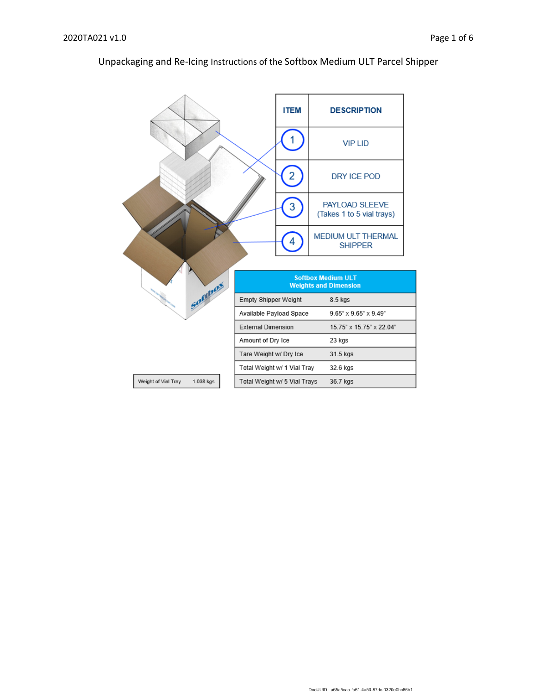#### **ITEM DESCRIPTION** 1 **VIP LID**  $\overline{2}$ DRY ICE POD  $\overline{3}$ PAYLOAD SLEEVE (Takes 1 to 5 vial trays) MEDIUM ULT THERMAL  $\overline{4}$ **SHIPPER Softbox Medium ULT** Sociolas **Weights and Dimension** Empty Shipper Weight  $8.5$  kgs Available Payload Space  $9.65^{\circ}\times9.65^{\circ}\times9.49^{\circ}$ **External Dimension**  $15.75" \times 15.75" \times 22.04"$ Amount of Dry Ice 23 kgs Tare Weight w/ Dry Ice 31.5 kgs Total Weight w/ 1 Vial Tray 32.6 kgs Total Weight w/ 5 Vial Trays Weight of Vial Tray 1.038 kgs 36.7 kgs

## Unpackaging and Re-Icing Instructions of the Softbox Medium ULT Parcel Shipper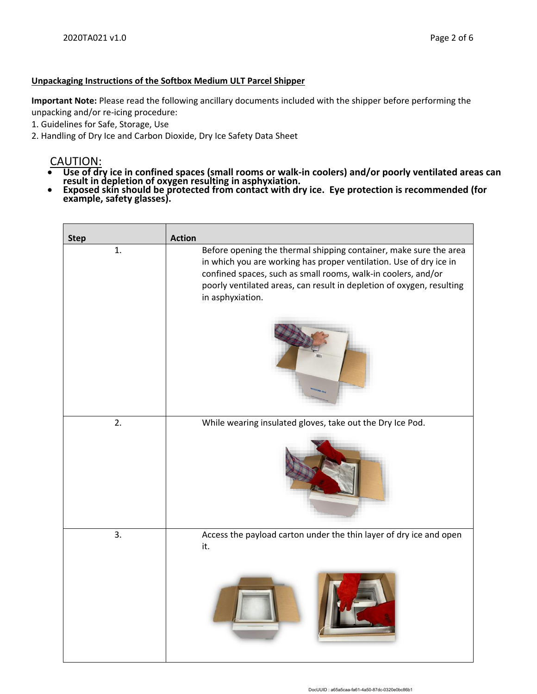#### **Unpackaging Instructions of the Softbox Medium ULT Parcel Shipper**

**Important Note:** Please read the following ancillary documents included with the shipper before performing the unpacking and/or re-icing procedure:

- 1. Guidelines for Safe, Storage, Use
- 2. Handling of Dry Ice and Carbon Dioxide, Dry Ice Safety Data Sheet

# CAUTION:

- **Use of dry ice in confined spaces (small rooms or walk-in coolers) and/or poorly ventilated areas can result in depletion of oxygen resulting in asphyxiation.**
- **Exposed skin should be protected from contact with dry ice. Eye protection is recommended (for example, safety glasses).**

| <b>Step</b> | <b>Action</b>                                                                                                                                                                                                                                                                                         |
|-------------|-------------------------------------------------------------------------------------------------------------------------------------------------------------------------------------------------------------------------------------------------------------------------------------------------------|
| 1.          | Before opening the thermal shipping container, make sure the area<br>in which you are working has proper ventilation. Use of dry ice in<br>confined spaces, such as small rooms, walk-in coolers, and/or<br>poorly ventilated areas, can result in depletion of oxygen, resulting<br>in asphyxiation. |
|             |                                                                                                                                                                                                                                                                                                       |
| 2.          | While wearing insulated gloves, take out the Dry Ice Pod.                                                                                                                                                                                                                                             |
|             |                                                                                                                                                                                                                                                                                                       |
| 3.          | Access the payload carton under the thin layer of dry ice and open<br>it.                                                                                                                                                                                                                             |
|             |                                                                                                                                                                                                                                                                                                       |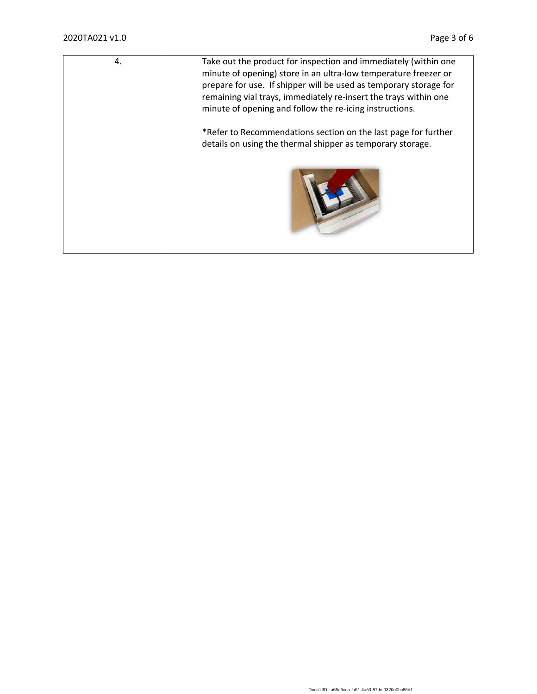| 4. | Take out the product for inspection and immediately (within one<br>minute of opening) store in an ultra-low temperature freezer or<br>prepare for use. If shipper will be used as temporary storage for<br>remaining vial trays, immediately re-insert the trays within one<br>minute of opening and follow the re-icing instructions. |
|----|----------------------------------------------------------------------------------------------------------------------------------------------------------------------------------------------------------------------------------------------------------------------------------------------------------------------------------------|
|    | *Refer to Recommendations section on the last page for further<br>details on using the thermal shipper as temporary storage.                                                                                                                                                                                                           |
|    |                                                                                                                                                                                                                                                                                                                                        |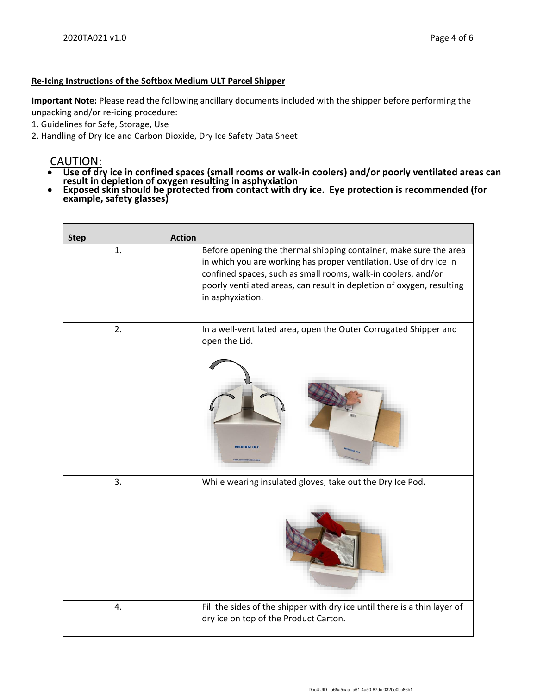#### **Re-Icing Instructions of the Softbox Medium ULT Parcel Shipper**

**Important Note:** Please read the following ancillary documents included with the shipper before performing the unpacking and/or re-icing procedure:

- 1. Guidelines for Safe, Storage, Use
- 2. Handling of Dry Ice and Carbon Dioxide, Dry Ice Safety Data Sheet

# CAUTION:

- **Use of dry ice in confined spaces (small rooms or walk-in coolers) and/or poorly ventilated areas can result in depletion of oxygen resulting in asphyxiation**
- **Exposed skin should be protected from contact with dry ice. Eye protection is recommended (for example, safety glasses)**

| <b>Step</b> | <b>Action</b>                                                                                                                                                                                                                                                                                         |
|-------------|-------------------------------------------------------------------------------------------------------------------------------------------------------------------------------------------------------------------------------------------------------------------------------------------------------|
| 1.          | Before opening the thermal shipping container, make sure the area<br>in which you are working has proper ventilation. Use of dry ice in<br>confined spaces, such as small rooms, walk-in coolers, and/or<br>poorly ventilated areas, can result in depletion of oxygen, resulting<br>in asphyxiation. |
| 2.          | In a well-ventilated area, open the Outer Corrugated Shipper and<br>open the Lid.<br><b>MEDIUM ULT</b>                                                                                                                                                                                                |
| 3.          | While wearing insulated gloves, take out the Dry Ice Pod.                                                                                                                                                                                                                                             |
| 4.          | Fill the sides of the shipper with dry ice until there is a thin layer of<br>dry ice on top of the Product Carton.                                                                                                                                                                                    |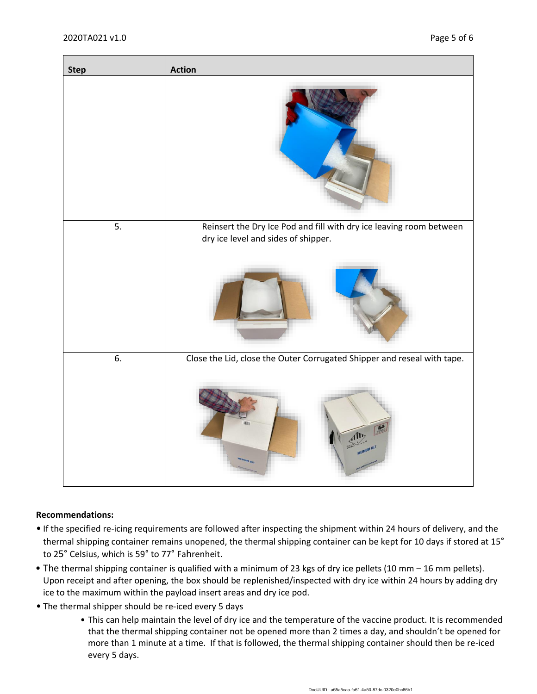

#### **Recommendations:**

- If the specified re-icing requirements are followed after inspecting the shipment within 24 hours of delivery, and the thermal shipping container remains unopened, the thermal shipping container can be kept for 10 days if stored at 15° to 25° Celsius, which is 59° to 77° Fahrenheit.
- The thermal shipping container is qualified with a minimum of 23 kgs of dry ice pellets (10 mm 16 mm pellets). Upon receipt and after opening, the box should be replenished/inspected with dry ice within 24 hours by adding dry ice to the maximum within the payload insert areas and dry ice pod.
- The thermal shipper should be re-iced every 5 days
	- This can help maintain the level of dry ice and the temperature of the vaccine product. It is recommended that the thermal shipping container not be opened more than 2 times a day, and shouldn't be opened for more than 1 minute at a time. If that is followed, the thermal shipping container should then be re-iced every 5 days.